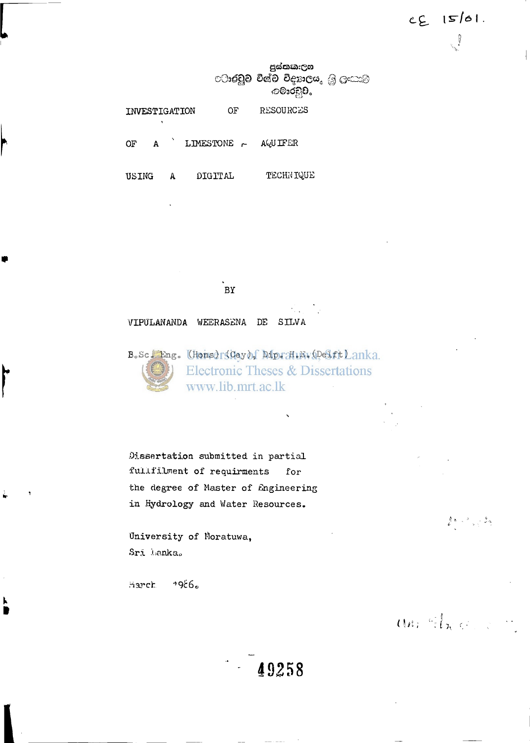පුස්තකැලශ **ාරවුව විශ්ව විදහාලය.** මූ ලංකාම *ා*ලාරවූව.

**INVESTIGATION OF RESOURCES** 

OF A LIMESTONE  $\sim$  AQUIFER

┝

r

**USING A DIGITAL TECHNIQUE** 

**BY** 

**VIPULANANDA WEERASENA DE SILVA** 

B. Sc. Eng. (Hons) (Cey) f Mp. H.E.V. Delft Lanka. **Electronic Theses & Dissertations** www.lib.mrt.ac.lk

**Dissertation submitted in partial •fulif ilment of requirments for the degree of Master of Engineering in Hydrology and Water Resources.** 

**University of Moratuwa, Sri Lanka<sup>0</sup>**

**harch** '986.

an Street

 $2\pi$  ,  $\pi$  ,  $2\pi$ 

 $CE$   $15/61$ .

 $\int$ 

 $-49258$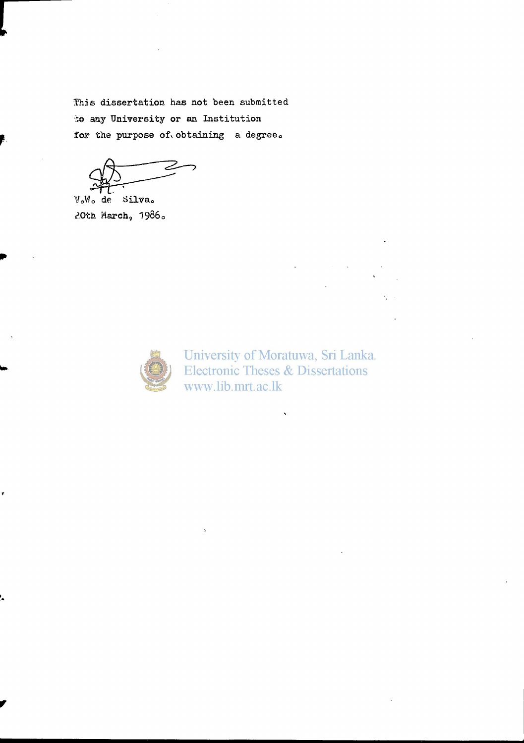**This dissertation has not been submitted**  *to* **any University or an Institution**  for the purpose of obtaining a degree.

**\f0Wo de Silva<sup>0</sup> ?,Oth March,<sup>1986</sup> <sup>0</sup>**



University of Moratuwa, Sri Lanka. **Electronic Theses & Dissertations** www.lib.mrt.ac.lk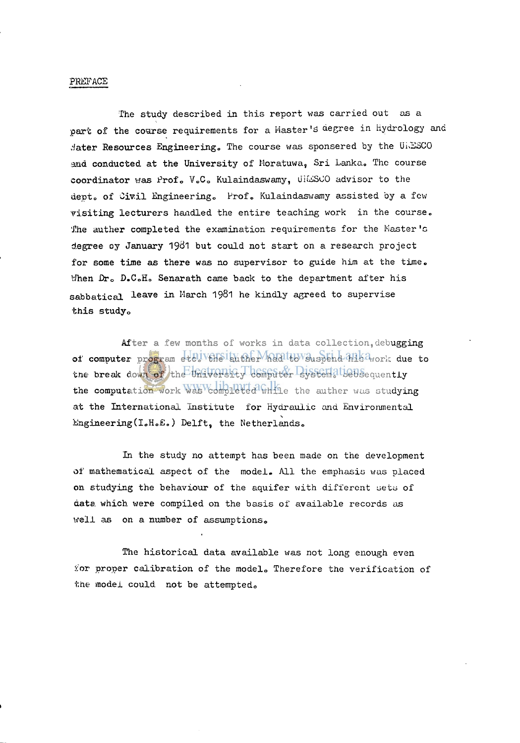### **PREFACE**

**The study described in this report was carried out as a**  part of the course requirements for a Master's degree in Hydrology and **;Jater Resources Engineering,, The course was sponsered by the UNESCO**  and conducted at the University of Moratuwa, Sri Lanka. The course **coordinator was Profo V <sup>0</sup> C <sup>0</sup> Kulaindaswamy, uiuiiSCO advisor to the depto of Civil Engineering,, Profo Kulaindaswamy assisted by a few visiting lecturers handled the entire teaching work in the course. The auther completed the examination requirements for the Master's degree oy January** 19^ <sup>1</sup> **but could not start on a research project for some time as there was no supervisor to guide him at the time,,**  When Dr<sub>o</sub> D.C.H. Senarath came back to the department after his sabbatical leave in March 1981 he kindly agreed to supervise **this study<sup>0</sup>**

After a few months of works in data collection, debugging of computer program etcliveHsithther had to suspend his avork due to the break down of the University computer Bystem, diagone quently **the computation work was completed while the auther was studying at the International Institute for Hydraulic and Environmental**  Engineering(I.H.E.) Delft, the Netherlands.

**In the study no attempt has been made on the development of mathematical aspect of the model. All the emphasis was placed on studying the behaviour of the aquifer with different aetu of data which were compiled on the basis of available records as well as on a number of assumptions<sup>0</sup>**

**The historical data available was not long enough even ior proper calibration of the modelo Therefore the verification of the model could not be attempted,,**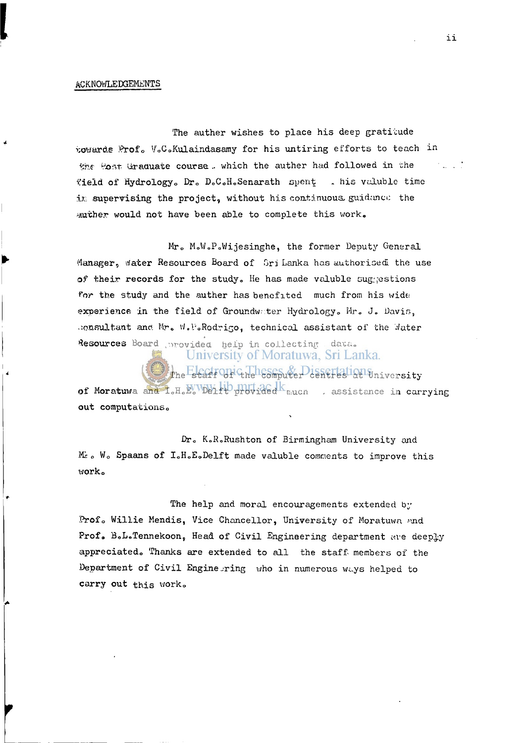#### **ACKNOWLEDGEMENTS**

The auther wishes to place his deep gratitude **•cowards Profo VoCoKulaindasamy for his untiring efforts to teach in She 'Host- Graduate course .. which the auther had followed in the ?ield of Hydrology., Dr0 D<sup>0</sup> C<sup>0</sup> H"Senarath spent . his voluble time**  ix supervising the project, without his continuous. guidance the **auther would not have been able to complete this work.** 

**Mr0 MoWoPoWijesinghe, the former Deputy General**  Manager, water Resources Board of firi Lanka has authorised the use of their records for the study. He has made valuble suggestions **for the study and the auther has benefited much from his wide;**  experience in the field of Groundwater Hydrology. Mr. J. Davis, **.ionsultant ana Mr" W.PoRodrigo, technical assistant of the Water**  Resources Board , provided help in collecting data.

> University of Moratuwa, Sri Lanka. **The Electronic Heles move planertation** whiversity

**of Moratuwa and IoH<sup>0</sup> E0 Delft provided n;ucn . assistance in carrying out computationso** 

**Dr0 K.R.Rushton of Birmingham University and Mi** *a* **Wo Spaans of IoH.EoDelft made valuble comments to improve this worko** 

**The help and moral encouragements extended by**  Prof. Willie Mendis, Vice Chancellor, University of Moratuwa and Prof. B.L.Tennekoon, Head of Civil Engineering department are deeply **appreciatedo Thanks are extended to all the staff- members of the Department of Civil Engine--ring who in numerous wuys helped to**  carry out this work.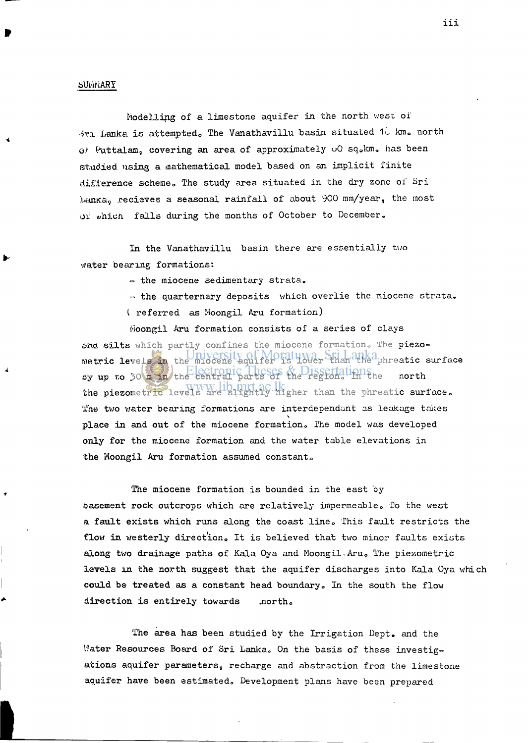## **SUt'iNARY**

**Modelling of a limestone aquifer in the north west of**  *ivi* Lanka is attempted. The Vanathavillu basin situated 1. km. north **o.t Puttalara, covering an area of approximately oO sq<sup>0</sup> km. has been studied using a mathematical model based on an implicit finite**  difference scheme. The study area situated in the dry zone of Sri **LanK.av recieves a seasonal rainfall of about 900 mm/year, the most whicn falls during the months of October to December.** 

**In the Vanathavillu basin there are essentially two water bearing formations:** 

 $\sim$  the miocene sedimentary strata.

**= the quarternary deposits which overlie the miocene strata. I referred as Moongil Aru formation)** 

**Moongil Aru formation consists of a series of clays**  and silts which partly confines the miocene formation. The piezo**metric levels in the miocene aquifer is lower than the phreatic surface**  by up to 30 m in the central parts of the region, limithe north **the piezometric levels are slightly higher than the phreatic surface. The two water bearing formations are interdependant as leakage takes place in and out of the miocene formation. The model was developed only for the miocene formation and the water table elevations in the Moongil Aru formation assumed constant<sup>0</sup>**

**The miocene formation is bounded in the east by basement rock outcrops which are relatively impermeable. To the west a fault exists which runs along the coast line0 This fault restricts the flow in westerly direction,, It is believed that two minor faults exists**  along two drainage paths of Kala Oya and Moongil. Aru. The piezometric **levels in the north suggest that the aquifer discharges into Kala Oya which could be treated as a constant head boundary. In the south the flow direction is entirely towards .north.** 

**The area has been studied by the Irrigation Dept. and the Water Resources Board of Sri Lanka. On the basis of these investigations aquifer parameters, recharge and abstraction from the limestone aquifer have been estimated. Development plans have been prepared**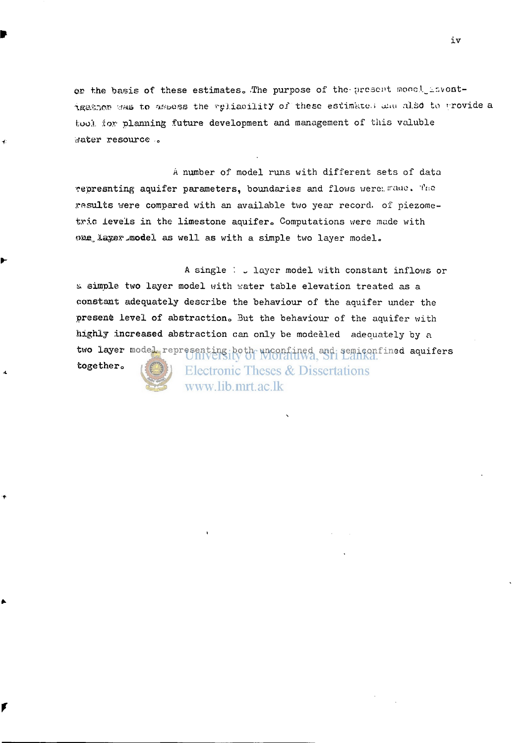or the basis of these estimates. The purpose of the present mood, invontigather was to assess the reliability of these estimate.; unu also to provide a *tool* **.tor planning future development and management of this valuble v/ater resource ,<sup>e</sup>**

**A number of model runs with different sets of data cepresnting aquifer parameters, boundaries and flows were:, iraue. 'I'no results were compared with an available two year record, of piezometric levels in the limestone aquiferc Computations were made with**  *®aaa* **layer^model as well as with a simple two layer model.** 

**A single '. \_ layer model with constant inflows or s simple two layer model with water table elevation treated as a constant adequately describe the behaviour of the aquifer under the presente level of abstraction,, But the behaviour of the aquifer with highly increased abstraction can only be modelled adequately by a two layer model representing both unconfined and semiconfined aquifers together,, Electronic Theses & Dissertations** 

www.lib.mrt.ac.lk

r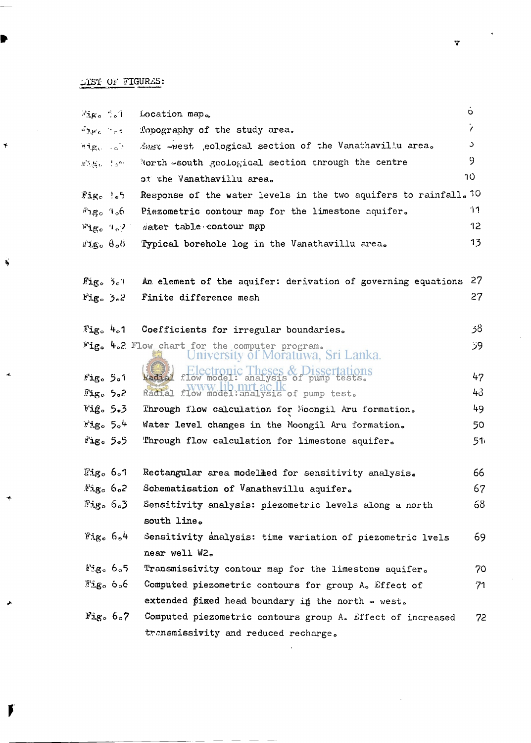# **l/iSI OF FIGURES:**

 $\rightarrow$ 

Ŋ

I

| ്വും ്ംി                   |                      | Location map.                                                                                            | о         |
|----------------------------|----------------------|----------------------------------------------------------------------------------------------------------|-----------|
| $42\mu c$ $1\sigma$ s      |                      | Topography of the study area.                                                                            | $\prime$  |
| High sit                   |                      | Zast -west , eological section of the Vanathavillu area.                                                 | C         |
| $x, y_0, y_0$              |                      | North $\infty$ south geological section through the centre                                               | 9         |
|                            |                      | of the Vanathavillu area.                                                                                | 10        |
| Fig. 1.5                   |                      | Response of the water levels in the two aquifers to rainfall. 10                                         |           |
| $F_{1,\mathbf{g}_{0}}$ 1.6 |                      | Piezometric contour map for the limestone aquifer.                                                       | 11        |
| Fig. 9.2                   |                      | water table contour map                                                                                  | 12        |
| Migo Coo                   |                      | Typical borehole log in the Vanathavillu area.                                                           | 13        |
| Fig. 5.1                   |                      | An element of the aquifer: derivation of governing equations                                             | 27        |
| Fig. 5.2                   |                      | Finite difference mesh                                                                                   | 27        |
|                            |                      |                                                                                                          |           |
|                            |                      | Fig. 4.1 Coefficients for irregular boundaries.                                                          | 38        |
|                            |                      | Fig. 4.2 Flow chart for the computer program.<br>University of Moratuwa, Sri Lanka.                      | 59.       |
|                            |                      | Electronic Theses & Dissertations<br>Radial flow model: analysis of pump tests.                          |           |
| Fig. 5.1                   |                      | Radial flow model: analysis of pump test.                                                                | 47<br>43. |
| Fig. 5.2<br>Fig. 5.3       |                      |                                                                                                          | 49.       |
| $12g_0$ 5.4                |                      | Through flow calculation for Moongil Aru formation.<br>Water level changes in the Moongil Aru formation. | 50        |
| Fig. 5.5                   |                      | Through flow calculation for limestone aquifer.                                                          | 51ì       |
|                            |                      |                                                                                                          |           |
| $\mathbb{F}_2$ ig. 6.1     |                      | Rectangular area modeleed for sensitivity analysis.                                                      | 66        |
| Fig. 6.2                   |                      | Schematisation of Vanathavillu aquifer.                                                                  | 67        |
|                            | <i>ී</i> 90 රිං3     | Sensitivity analysis: piezometric levels along a north                                                   | 68        |
|                            |                      | south line.                                                                                              |           |
|                            | Fig. 6.4             | Sensitivity analysis: time variation of piezometric lvels                                                | 69        |
|                            |                      | near well W2.                                                                                            |           |
|                            | Fig. 6.5             | Transmissivity contour map for the limestons aquifer.                                                    | 70        |
|                            | აშევი ნინ            | Computed piezometric contours for group A. Effect of                                                     | 71        |
|                            |                      | extended pixed head boundary in the north - west.                                                        |           |
|                            | $r_{\rm 1g}$ , $6.7$ | Computed piezometric contours group A. Effect of increased                                               | 72        |
|                            |                      | transmissivity and reduced recharge.                                                                     |           |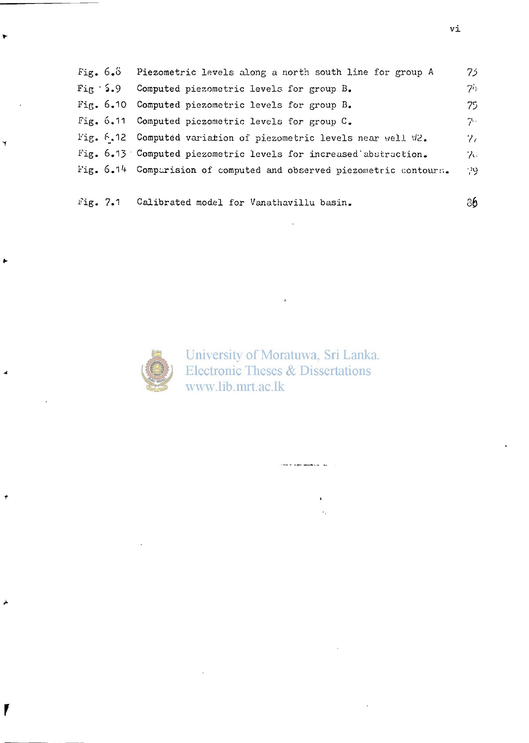| Fig. $6.5$ | Piezometric levels along a north south line for group A              | $75^{\circ}$    |
|------------|----------------------------------------------------------------------|-----------------|
| Fix 5.9    | Computed piezometric levels for group B.                             | $7^{\circ}$     |
|            | Fig. 6.10 Computed piezometric levels for group B.                   | 75.             |
|            | Fig. 6.11 Computed piezometric levels for group C.                   | $7 -$           |
|            | Fig. 6.12 Computed variation of piezometric levels near well W2.     | $\mathcal{V}_C$ |
|            | Fig. 6.13 Computed piezometric levels for increased abstraction.     | $\mathcal{P}$ . |
|            | Fig. 6.14 Comparision of computed and observed piezometric contours. | -29.            |
|            |                                                                      |                 |
| Fig. 7.1   | Calibrated model for Vanathavillu basin.                             | 86              |

 $\sim$ 



*f* 

University of Moratuwa, Sri Lanka.<br>Electronic Theses & Dissertations www.lib.mrt.ac.lk

and a specification of

 $\ddot{\cdot}$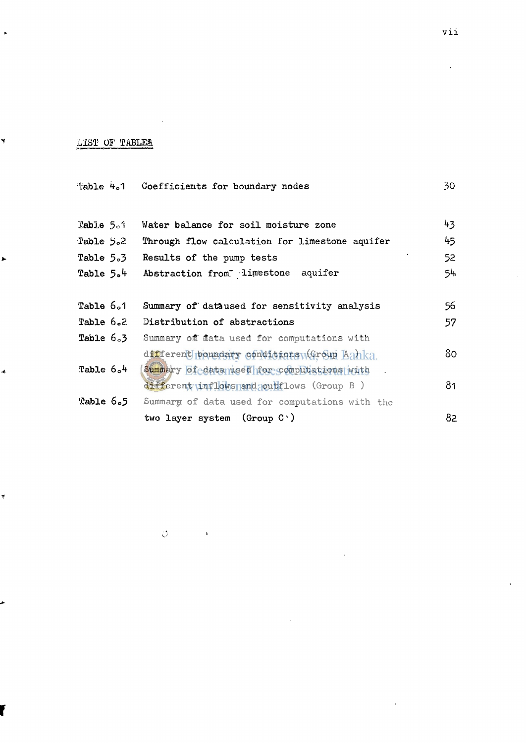# **LIST OF TABLES.**

 $\ddot{\phantom{1}}$ 

Y

 $\overline{\phantom{a}}$ 

 $\vec{r}$ 

|   |             | Table 4.1 Coefficients for boundary nodes      | 30  |
|---|-------------|------------------------------------------------|-----|
|   |             |                                                |     |
|   | Table $5.1$ | Water balance for soil moisture zone           | 43  |
|   | Table $5.2$ | Through flow calculation for limestone aquifer | 45  |
| ▶ | Table 5.3   | Results of the pump tests                      | 52  |
|   | Table $5.4$ | Abstraction from limestone aquifer             | 54. |
|   |             |                                                |     |
|   | Table 6.1   | Summary of dataused for sensitivity analysis   | 56  |
|   | Table 6.2   | Distribution of abstractions                   | 57  |
|   | Table 6.3   | Summary off flata used for computations with   |     |
|   |             | different poundary conditions (Group Lanka     | 80. |
|   | Table $6.4$ | Summary of data used for computations with     |     |
|   |             | different inflows and coult lows (Group B)     | 81  |
|   | Table 6.5   | Summary of data used for computations with the |     |
|   |             | two layer system (Group $C$ )                  | 82  |

 $|\phi\rangle$ 

 $\pmb{\ast}$ 

r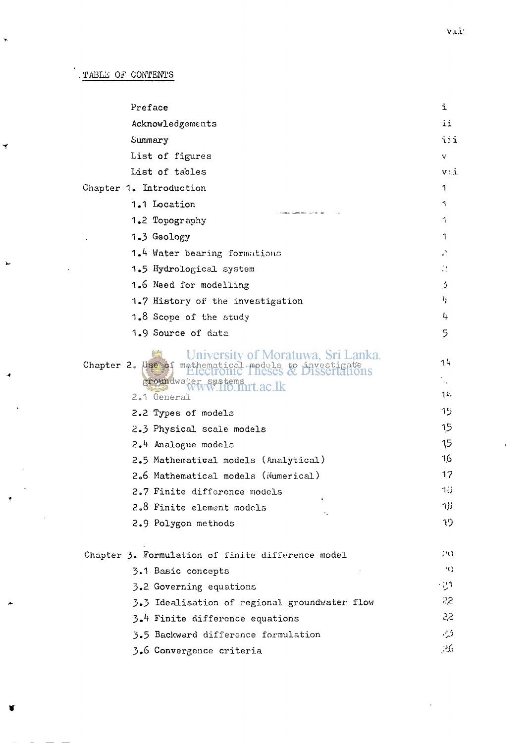$\overline{\mathbf{y}}$ 

Y

| Preface                                                                                                                                               | i                  |
|-------------------------------------------------------------------------------------------------------------------------------------------------------|--------------------|
| Acknowledgements                                                                                                                                      | ii                 |
| Summary                                                                                                                                               | iii                |
| List of figures                                                                                                                                       | V                  |
| List of tables                                                                                                                                        | $V$ ). $\dot{J}$ . |
| Chapter 1. Introduction                                                                                                                               | 1                  |
| 1.1 Location                                                                                                                                          | 1                  |
| 1.2 Topography                                                                                                                                        | 1                  |
| 1.3 Geology                                                                                                                                           | 1                  |
| 1.4 Water bearing formations                                                                                                                          | è.                 |
| 1.5 Hydrological system                                                                                                                               | $\mathcal{C}$      |
| 1.6 Need for modelling                                                                                                                                | 5                  |
| 1.7 History of the investigation                                                                                                                      | 4                  |
| 1.8 Scope of the study                                                                                                                                | 4                  |
| 1.9 Source of data                                                                                                                                    | 5                  |
| University of Moratuwa, Sri Lanka.<br>Chapter 2. Use of mathematical models to investigate<br>groundwater sustems<br>WWW.110.mrt.ac.lk<br>2.1 General | 14<br>$\sim$<br>74 |
| 2.2 Types of models                                                                                                                                   | 15                 |
| 2.3 Physical scale models                                                                                                                             | 15                 |
| 2.4 Analogue models                                                                                                                                   | 15                 |
| 2.5 Mathematival models (Analytical)                                                                                                                  | 16                 |
| 2.6 Mathematical models (Numerical)                                                                                                                   | 17                 |
| 2.7 Finite difference models                                                                                                                          | 18                 |
| 2.8 Finite element models<br>٠.                                                                                                                       | 1β                 |
| 2.9 Polygon methods                                                                                                                                   | -19                |
| Chapter 3. Formulation of finite difference model                                                                                                     | 20                 |
| 3.1 Basic concepts                                                                                                                                    | 30                 |
| 3.2 Governing equations                                                                                                                               | - 21               |
| 3.3 Idealisation of regional groundwater flow                                                                                                         | 55                 |
| 3.4 Finite difference equations                                                                                                                       | 2 <sup>5</sup>     |
| 3.5 Backward difference formulation                                                                                                                   | ۇ ب                |
| 3.6 Convergence criteria                                                                                                                              | ,26                |
|                                                                                                                                                       |                    |

 $\mathcal{L}$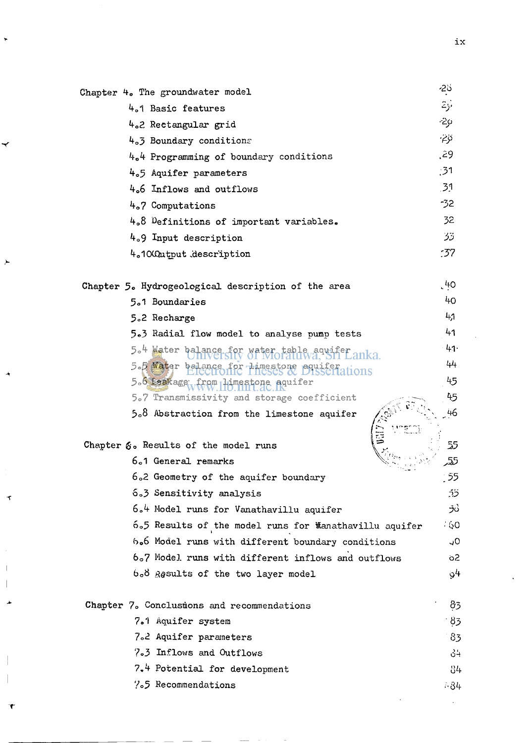| Chapter 4. The groundwater model                       | نځ-<br>`       |
|--------------------------------------------------------|----------------|
| 4.1 Basic features                                     | أزتح           |
| 4.2 Rectangular grid                                   | -29            |
| 4.3 Boundary conditions                                | نۆت-           |
| 4.4 Programming of boundary conditions                 | ,29            |
| 4.5 Aquifer parameters                                 | $^{31}$        |
| 4.6 Inflows and outflows                               | 31             |
| 4.7 Computations                                       | -32            |
| 4.8 Definitions of important variables.                | 32             |
| 4.9 Input description                                  | 33             |
| 4.1000atput description                                | :37            |
| Chapter 5. Hydrogeological description of the area     | $^{40}$        |
| 5.1 Boundaries                                         | 40             |
| 5.2 Recharge                                           | 41             |
| 5.3 Radial flow model to analyse pump tests            | 41             |
| 5.4 Water ba<br>anka.                                  | $-41$          |
| 5.5 Water bal<br>Himestone aquifer<br>anons            | 44             |
| 5.6 Leakage<br>umestone aquifer                        | 45             |
| 5.7 Transmissivity and storage coefficient             | 45             |
| $5.8$ Abstraction from the limestone aquifer           | 46             |
| Chapter $\mathcal{E}_0$ Results of the model runs      | 55             |
| 6.1 General remarks                                    | 55.            |
| 6.2 Geometry of the aquifer boundary                   | 55             |
| 6.3 Sensitivity analysis                               | <u>כֿדֿ</u>    |
| 6.4 Model runs for Vanathavillu aquifer                | うご             |
| 6.5 Results of the model runs for Manathavillu aquifer | - 60           |
| 6.6 Model runs with different boundary conditions      | 0ړ             |
| 6.7 Model runs with different inflows and outflows     | 62             |
| b.8 Results of the two layer model                     | 4و             |
| Chapter 7. Conclusions and recommendations             | 83             |
| 7.1 Aquifer system                                     | 8 <sub>3</sub> |
| 7.2 Aquifer parameters                                 | 83             |
| 7.3 Inflows and Outflows                               | 34             |
| 7.4 Potential for development                          | 84             |
|                                                        |                |

 $\ddot{\phantom{1}}$ 

↩

 $\blacktriangleright$ 

À

 $\bar{\mathbf{t}}$ 

 $\begin{array}{c} \hline \end{array}$ 

٦

**7 o <sup>5</sup> Recommendations**  $.34$ 

 $\hat{\mathcal{A}}$